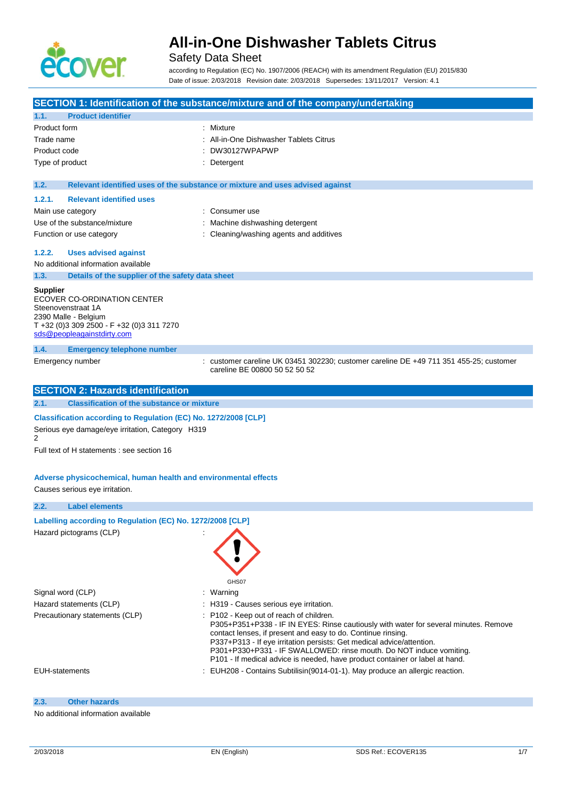

## Safety Data Sheet

according to Regulation (EC) No. 1907/2006 (REACH) with its amendment Regulation (EU) 2015/830 Date of issue: 2/03/2018 Revision date: 2/03/2018 Supersedes: 13/11/2017 Version: 4.1

|                                                                                                                                                                         | SECTION 1: Identification of the substance/mixture and of the company/undertaking                                                                                                                                                                                                                                                                                                                                               |
|-------------------------------------------------------------------------------------------------------------------------------------------------------------------------|---------------------------------------------------------------------------------------------------------------------------------------------------------------------------------------------------------------------------------------------------------------------------------------------------------------------------------------------------------------------------------------------------------------------------------|
| <b>Product identifier</b><br>1.1.                                                                                                                                       |                                                                                                                                                                                                                                                                                                                                                                                                                                 |
| Product form                                                                                                                                                            | Mixture                                                                                                                                                                                                                                                                                                                                                                                                                         |
| Trade name                                                                                                                                                              | All-in-One Dishwasher Tablets Citrus                                                                                                                                                                                                                                                                                                                                                                                            |
| Product code                                                                                                                                                            | DW30127WPAPWP                                                                                                                                                                                                                                                                                                                                                                                                                   |
| Type of product                                                                                                                                                         | : Detergent                                                                                                                                                                                                                                                                                                                                                                                                                     |
| 1.2.                                                                                                                                                                    | Relevant identified uses of the substance or mixture and uses advised against                                                                                                                                                                                                                                                                                                                                                   |
| <b>Relevant identified uses</b><br>1.2.1.                                                                                                                               |                                                                                                                                                                                                                                                                                                                                                                                                                                 |
| Main use category                                                                                                                                                       | : Consumer use                                                                                                                                                                                                                                                                                                                                                                                                                  |
| Use of the substance/mixture                                                                                                                                            | Machine dishwashing detergent                                                                                                                                                                                                                                                                                                                                                                                                   |
| Function or use category                                                                                                                                                | : Cleaning/washing agents and additives                                                                                                                                                                                                                                                                                                                                                                                         |
| 1.2.2.<br><b>Uses advised against</b>                                                                                                                                   |                                                                                                                                                                                                                                                                                                                                                                                                                                 |
| No additional information available                                                                                                                                     |                                                                                                                                                                                                                                                                                                                                                                                                                                 |
| 1.3.<br>Details of the supplier of the safety data sheet                                                                                                                |                                                                                                                                                                                                                                                                                                                                                                                                                                 |
| <b>Supplier</b><br>ECOVER CO-ORDINATION CENTER<br>Steenovenstraat 1A<br>2390 Malle - Belgium<br>T +32 (0)3 309 2500 - F +32 (0)3 311 7270<br>sds@peopleagainstdirty.com |                                                                                                                                                                                                                                                                                                                                                                                                                                 |
| 1.4.<br><b>Emergency telephone number</b>                                                                                                                               |                                                                                                                                                                                                                                                                                                                                                                                                                                 |
| Emergency number                                                                                                                                                        | customer careline UK 03451 302230; customer careline DE +49 711 351 455-25; customer<br>careline BE 00800 50 52 50 52                                                                                                                                                                                                                                                                                                           |
| <b>SECTION 2: Hazards identification</b>                                                                                                                                |                                                                                                                                                                                                                                                                                                                                                                                                                                 |
| <b>Classification of the substance or mixture</b><br>2.1.                                                                                                               |                                                                                                                                                                                                                                                                                                                                                                                                                                 |
| Classification according to Regulation (EC) No. 1272/2008 [CLP]                                                                                                         |                                                                                                                                                                                                                                                                                                                                                                                                                                 |
| Serious eye damage/eye irritation, Category H319<br>2                                                                                                                   |                                                                                                                                                                                                                                                                                                                                                                                                                                 |
| Full text of H statements : see section 16                                                                                                                              |                                                                                                                                                                                                                                                                                                                                                                                                                                 |
| Adverse physicochemical, human health and environmental effects<br>Causes serious eye irritation.                                                                       |                                                                                                                                                                                                                                                                                                                                                                                                                                 |
| 2.2.<br><b>Label elements</b>                                                                                                                                           |                                                                                                                                                                                                                                                                                                                                                                                                                                 |
| Labelling according to Regulation (EC) No. 1272/2008 [CLP]                                                                                                              |                                                                                                                                                                                                                                                                                                                                                                                                                                 |
| Hazard pictograms (CLP)                                                                                                                                                 | GHS07                                                                                                                                                                                                                                                                                                                                                                                                                           |
| Signal word (CLP)                                                                                                                                                       | : Warning                                                                                                                                                                                                                                                                                                                                                                                                                       |
| Hazard statements (CLP)                                                                                                                                                 | : H319 - Causes serious eye irritation.                                                                                                                                                                                                                                                                                                                                                                                         |
| Precautionary statements (CLP)                                                                                                                                          | : P102 - Keep out of reach of children.<br>P305+P351+P338 - IF IN EYES: Rinse cautiously with water for several minutes. Remove<br>contact lenses, if present and easy to do. Continue rinsing.<br>P337+P313 - If eye irritation persists: Get medical advice/attention.<br>P301+P330+P331 - IF SWALLOWED: rinse mouth. Do NOT induce vomiting.<br>P101 - If medical advice is needed, have product container or label at hand. |
| <b>EUH-statements</b>                                                                                                                                                   | : EUH208 - Contains Subtilisin (9014-01-1). May produce an allergic reaction.                                                                                                                                                                                                                                                                                                                                                   |
| 2.3.<br><b>Other hazards</b>                                                                                                                                            |                                                                                                                                                                                                                                                                                                                                                                                                                                 |

### No additional information available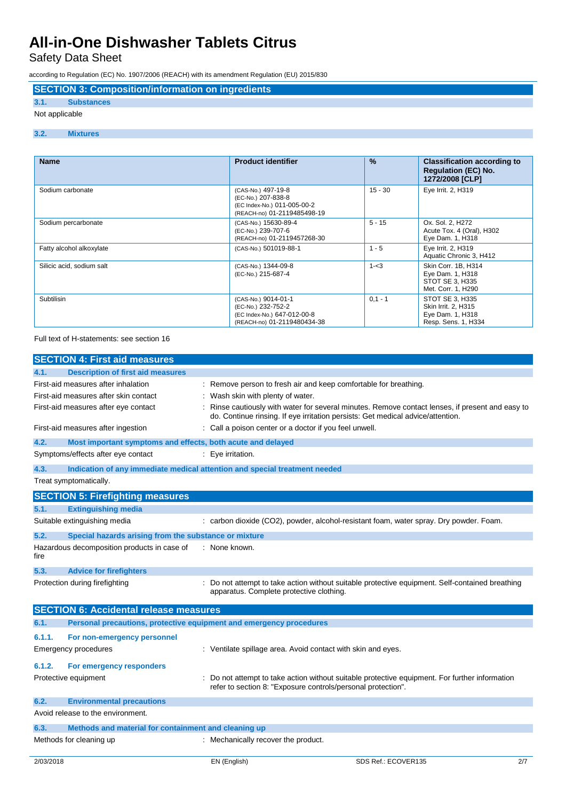Safety Data Sheet

according to Regulation (EC) No. 1907/2006 (REACH) with its amendment Regulation (EU) 2015/830

# **SECTION 3: Composition/information on ingredients**

#### **3.1. Substances** Not applicable

### **3.2. Mixtures**

| <b>Name</b>               | <b>Product identifier</b>                                                                               | $\%$      | <b>Classification according to</b><br><b>Regulation (EC) No.</b><br>1272/2008 [CLP] |
|---------------------------|---------------------------------------------------------------------------------------------------------|-----------|-------------------------------------------------------------------------------------|
| Sodium carbonate          | (CAS-No.) 497-19-8<br>(EC-No.) 207-838-8<br>(EC Index-No.) 011-005-00-2<br>(REACH-no) 01-2119485498-19  | $15 - 30$ | Eye Irrit. 2, H319                                                                  |
| Sodium percarbonate       | (CAS-No.) 15630-89-4<br>(EC-No.) 239-707-6<br>(REACH-no) 01-2119457268-30                               | $5 - 15$  | Ox. Sol. 2, H272<br>Acute Tox. 4 (Oral), H302<br>Eye Dam. 1, H318                   |
| Fatty alcohol alkoxylate  | (CAS-No.) 501019-88-1                                                                                   | $1 - 5$   | Eye Irrit. 2, H319<br>Aquatic Chronic 3, H412                                       |
| Silicic acid, sodium salt | (CAS-No.) 1344-09-8<br>(EC-No.) 215-687-4                                                               | $1 - 3$   | Skin Corr. 1B, H314<br>Eye Dam. 1, H318<br>STOT SE 3, H335<br>Met. Corr. 1, H290    |
| Subtilisin                | (CAS-No.) 9014-01-1<br>(EC-No.) 232-752-2<br>(EC Index-No.) 647-012-00-8<br>(REACH-no) 01-2119480434-38 | $0,1 - 1$ | STOT SE 3, H335<br>Skin Irrit. 2, H315<br>Eye Dam. 1, H318<br>Resp. Sens. 1, H334   |

#### Full text of H-statements: see section 16

|           | <b>SECTION 4: First aid measures</b>                                                                                 |                                                                                                                                                                                        |                                                                                                |
|-----------|----------------------------------------------------------------------------------------------------------------------|----------------------------------------------------------------------------------------------------------------------------------------------------------------------------------------|------------------------------------------------------------------------------------------------|
| 4.1.      | <b>Description of first aid measures</b>                                                                             |                                                                                                                                                                                        |                                                                                                |
|           | First-aid measures after inhalation<br>First-aid measures after skin contact<br>First-aid measures after eye contact | : Remove person to fresh air and keep comfortable for breathing.<br>Wash skin with plenty of water.<br>do. Continue rinsing. If eye irritation persists: Get medical advice/attention. | Rinse cautiously with water for several minutes. Remove contact lenses, if present and easy to |
|           | First-aid measures after ingestion                                                                                   | : Call a poison center or a doctor if you feel unwell.                                                                                                                                 |                                                                                                |
| 4.2.      | Most important symptoms and effects, both acute and delayed                                                          |                                                                                                                                                                                        |                                                                                                |
|           | Symptoms/effects after eye contact                                                                                   | : Eye irritation.                                                                                                                                                                      |                                                                                                |
| 4.3.      |                                                                                                                      | Indication of any immediate medical attention and special treatment needed                                                                                                             |                                                                                                |
|           | Treat symptomatically.                                                                                               |                                                                                                                                                                                        |                                                                                                |
|           |                                                                                                                      |                                                                                                                                                                                        |                                                                                                |
| 5.1.      | <b>SECTION 5: Firefighting measures</b><br><b>Extinguishing media</b>                                                |                                                                                                                                                                                        |                                                                                                |
|           | Suitable extinguishing media                                                                                         | : carbon dioxide (CO2), powder, alcohol-resistant foam, water spray. Dry powder. Foam.                                                                                                 |                                                                                                |
|           |                                                                                                                      |                                                                                                                                                                                        |                                                                                                |
| 5.2.      | Special hazards arising from the substance or mixture                                                                |                                                                                                                                                                                        |                                                                                                |
| fire      | Hazardous decomposition products in case of                                                                          | : None known.                                                                                                                                                                          |                                                                                                |
| 5.3.      | <b>Advice for firefighters</b>                                                                                       |                                                                                                                                                                                        |                                                                                                |
|           | Protection during firefighting                                                                                       | apparatus. Complete protective clothing.                                                                                                                                               | Do not attempt to take action without suitable protective equipment. Self-contained breathing  |
|           | <b>SECTION 6: Accidental release measures</b>                                                                        |                                                                                                                                                                                        |                                                                                                |
| 6.1.      | Personal precautions, protective equipment and emergency procedures                                                  |                                                                                                                                                                                        |                                                                                                |
| 6.1.1.    | For non-emergency personnel                                                                                          |                                                                                                                                                                                        |                                                                                                |
|           | <b>Emergency procedures</b>                                                                                          | : Ventilate spillage area. Avoid contact with skin and eyes.                                                                                                                           |                                                                                                |
| 6.1.2.    | For emergency responders                                                                                             |                                                                                                                                                                                        |                                                                                                |
|           | Protective equipment                                                                                                 | refer to section 8: "Exposure controls/personal protection".                                                                                                                           | Do not attempt to take action without suitable protective equipment. For further information   |
| 6.2.      | <b>Environmental precautions</b>                                                                                     |                                                                                                                                                                                        |                                                                                                |
|           | Avoid release to the environment.                                                                                    |                                                                                                                                                                                        |                                                                                                |
| 6.3.      | Methods and material for containment and cleaning up                                                                 |                                                                                                                                                                                        |                                                                                                |
|           | Methods for cleaning up                                                                                              | : Mechanically recover the product.                                                                                                                                                    |                                                                                                |
| 2/03/2018 |                                                                                                                      | EN (English)                                                                                                                                                                           | SDS Ref.: ECOVER135<br>2/7                                                                     |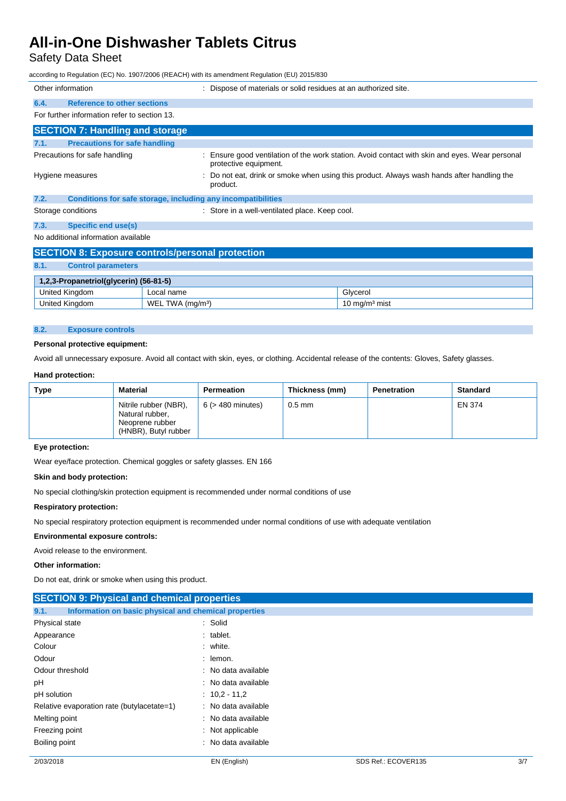Safety Data Sheet

according to Regulation (EC) No. 1907/2006 (REACH) with its amendment Regulation (EU) 2015/830

| Other information |                                                              | Dispose of materials or solid residues at an authorized site.                                                         |
|-------------------|--------------------------------------------------------------|-----------------------------------------------------------------------------------------------------------------------|
| 6.4.              | <b>Reference to other sections</b>                           |                                                                                                                       |
|                   | For further information refer to section 13.                 |                                                                                                                       |
|                   | <b>SECTION 7: Handling and storage</b>                       |                                                                                                                       |
| 7.1.              | <b>Precautions for safe handling</b>                         |                                                                                                                       |
|                   | Precautions for safe handling                                | Ensure good ventilation of the work station. Avoid contact with skin and eyes. Wear personal<br>protective equipment. |
|                   | Hygiene measures                                             | Do not eat, drink or smoke when using this product. Always wash hands after handling the<br>product.                  |
| 7.2.              | Conditions for safe storage, including any incompatibilities |                                                                                                                       |
|                   | Storage conditions                                           | : Store in a well-ventilated place. Keep cool.                                                                        |
| 7.3.              | <b>Specific end use(s)</b>                                   |                                                                                                                       |

No additional information available

| <b>SECTION 8: Exposure controls/personal protection</b> |                              |                  |  |  |
|---------------------------------------------------------|------------------------------|------------------|--|--|
| 8.1.<br><b>Control parameters</b>                       |                              |                  |  |  |
| 1,2,3-Propanetriol(glycerin) (56-81-5)                  |                              |                  |  |  |
| United Kingdom                                          | Local name                   | Glvcerol         |  |  |
| United Kingdom                                          | WEL TWA (mg/m <sup>3</sup> ) | 10 mg/m $3$ mist |  |  |

#### **8.2. Exposure controls**

#### **Personal protective equipment:**

Avoid all unnecessary exposure. Avoid all contact with skin, eyes, or clothing. Accidental release of the contents: Gloves, Safety glasses.

#### **Hand protection:**

| Type | Material                                                                            | Permeation             | Thickness (mm) | Penetration | <b>Standard</b> |
|------|-------------------------------------------------------------------------------------|------------------------|----------------|-------------|-----------------|
|      | Nitrile rubber (NBR),<br>Natural rubber,<br>Neoprene rubber<br>(HNBR), Butyl rubber | $6$ ( $>$ 480 minutes) | $0.5$ mm       |             | EN 374          |

#### **Eye protection:**

Wear eye/face protection. Chemical goggles or safety glasses. EN 166

#### **Skin and body protection:**

No special clothing/skin protection equipment is recommended under normal conditions of use

#### **Respiratory protection:**

No special respiratory protection equipment is recommended under normal conditions of use with adequate ventilation

#### **Environmental exposure controls:**

Avoid release to the environment.

#### **Other information:**

Do not eat, drink or smoke when using this product.

| <b>SECTION 9: Physical and chemical properties</b>            |                     |
|---------------------------------------------------------------|---------------------|
| Information on basic physical and chemical properties<br>9.1. |                     |
| Physical state                                                | : Solid             |
| Appearance                                                    | $:$ tablet.         |
| Colour                                                        | : white.            |
| Odour                                                         | $:$ lemon.          |
| Odour threshold                                               | : No data available |
| рH                                                            | : No data available |
| pH solution                                                   | $: 10.2 - 11.2$     |
| Relative evaporation rate (butylacetate=1)                    | : No data available |
| Melting point                                                 | : No data available |
| Freezing point                                                | : Not applicable    |
| Boiling point                                                 | : No data available |
|                                                               |                     |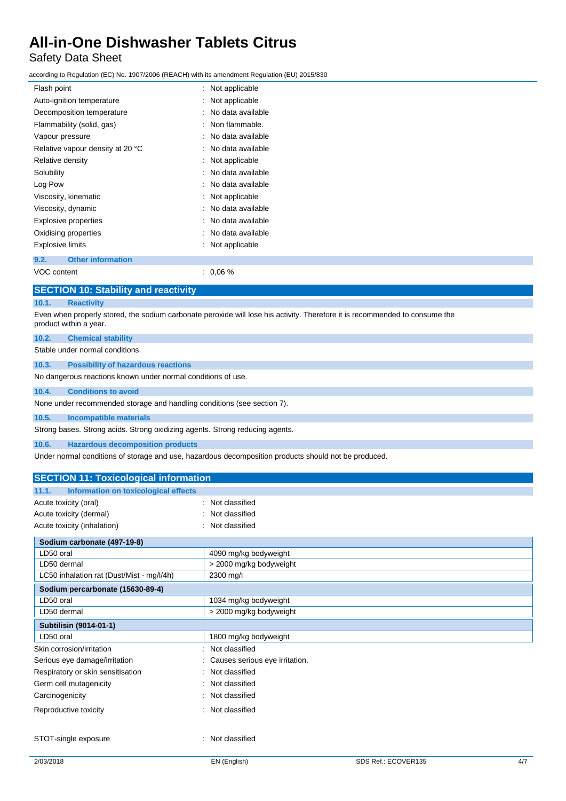## Safety Data Sheet

according to Regulation (EC) No. 1907/2006 (REACH) with its amendment Regulation (EU) 2015/830

| Flash point                                 | : Not applicable                                                                                                            |  |
|---------------------------------------------|-----------------------------------------------------------------------------------------------------------------------------|--|
| Auto-ignition temperature                   | : Not applicable                                                                                                            |  |
| Decomposition temperature                   | : No data available                                                                                                         |  |
| Flammability (solid, gas)                   | : Non flammable.                                                                                                            |  |
| Vapour pressure                             | : No data available                                                                                                         |  |
| Relative vapour density at 20 °C            | : No data available                                                                                                         |  |
| Relative density                            | : Not applicable                                                                                                            |  |
| Solubility                                  | : No data available                                                                                                         |  |
| Log Pow                                     | : No data available                                                                                                         |  |
| Viscosity, kinematic                        | : Not applicable                                                                                                            |  |
| Viscosity, dynamic                          | : No data available                                                                                                         |  |
| <b>Explosive properties</b>                 | No data available                                                                                                           |  |
| Oxidising properties                        | : No data available                                                                                                         |  |
| <b>Explosive limits</b>                     | : Not applicable                                                                                                            |  |
| 9.2.<br><b>Other information</b>            |                                                                                                                             |  |
| VOC content                                 | $: 0.06 \%$                                                                                                                 |  |
| <b>SECTION 10: Stability and reactivity</b> |                                                                                                                             |  |
| <b>Reactivity</b><br>10.1.                  |                                                                                                                             |  |
|                                             | Even when properly stored, the sodium carbonate peroxide will lose his activity. Therefore it is recommended to consume the |  |

product within a year.

### **10.2. Chemical stability**

Stable under normal conditions.

**10.3. Possibility of hazardous reactions**

No dangerous reactions known under normal conditions of use.

#### **10.4. Conditions to avoid**

None under recommended storage and handling conditions (see section 7).

**10.5. Incompatible materials**

Strong bases. Strong acids. Strong oxidizing agents. Strong reducing agents.

**10.6. Hazardous decomposition products**

Under normal conditions of storage and use, hazardous decomposition products should not be produced.

| <b>SECTION 11: Toxicological information</b>  |                                |
|-----------------------------------------------|--------------------------------|
| 11.1.<br>Information on toxicological effects |                                |
| Acute toxicity (oral)                         | Not classified<br>٠.           |
| Acute toxicity (dermal)                       | Not classified                 |
| Acute toxicity (inhalation)                   | Not classified                 |
| Sodium carbonate (497-19-8)                   |                                |
| LD50 oral                                     | 4090 mg/kg bodyweight          |
| LD50 dermal                                   | > 2000 mg/kg bodyweight        |
| LC50 inhalation rat (Dust/Mist - mg/l/4h)     | 2300 mg/l                      |
| Sodium percarbonate (15630-89-4)              |                                |
| LD50 oral                                     | 1034 mg/kg bodyweight          |
| LD50 dermal                                   | > 2000 mg/kg bodyweight        |
| Subtilisin (9014-01-1)                        |                                |
| LD50 oral                                     | 1800 mg/kg bodyweight          |
| Skin corrosion/irritation                     | Not classified                 |
| Serious eye damage/irritation                 | Causes serious eye irritation. |
| Respiratory or skin sensitisation             | Not classified                 |
| Germ cell mutagenicity                        | Not classified                 |
| Carcinogenicity                               | Not classified                 |
| Reproductive toxicity                         | Not classified                 |
| STOT-single exposure                          | Not classified                 |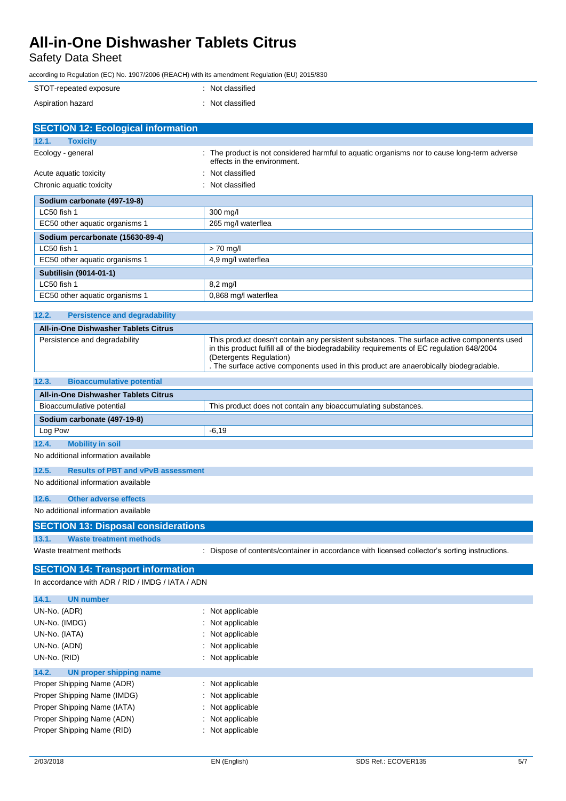Safety Data Sheet

according to Regulation (EC) No. 1907/2006 (REACH) with its amendment Regulation (EU) 2015/830

| STOT-repeated exposure | : Not classified |
|------------------------|------------------|
| Aspiration hazard      | : Not classified |

| <b>SECTION 12: Ecological information</b>          |                                                                                                                                                                                                                                                                                                              |
|----------------------------------------------------|--------------------------------------------------------------------------------------------------------------------------------------------------------------------------------------------------------------------------------------------------------------------------------------------------------------|
| 12.1.<br><b>Toxicity</b>                           |                                                                                                                                                                                                                                                                                                              |
| Ecology - general                                  | The product is not considered harmful to aquatic organisms nor to cause long-term adverse<br>effects in the environment.                                                                                                                                                                                     |
| Acute aquatic toxicity                             | Not classified                                                                                                                                                                                                                                                                                               |
| Chronic aquatic toxicity                           | Not classified                                                                                                                                                                                                                                                                                               |
| Sodium carbonate (497-19-8)                        |                                                                                                                                                                                                                                                                                                              |
| LC50 fish 1                                        | 300 mg/l                                                                                                                                                                                                                                                                                                     |
| EC50 other aquatic organisms 1                     | 265 mg/l waterflea                                                                                                                                                                                                                                                                                           |
| Sodium percarbonate (15630-89-4)                   |                                                                                                                                                                                                                                                                                                              |
| LC50 fish 1                                        | $> 70$ mg/l                                                                                                                                                                                                                                                                                                  |
| EC50 other aquatic organisms 1                     | 4,9 mg/l waterflea                                                                                                                                                                                                                                                                                           |
| Subtilisin (9014-01-1)                             |                                                                                                                                                                                                                                                                                                              |
| LC50 fish 1                                        | 8,2 mg/l                                                                                                                                                                                                                                                                                                     |
| EC50 other aquatic organisms 1                     | 0,868 mg/l waterflea                                                                                                                                                                                                                                                                                         |
| 12.2.<br><b>Persistence and degradability</b>      |                                                                                                                                                                                                                                                                                                              |
| <b>All-in-One Dishwasher Tablets Citrus</b>        |                                                                                                                                                                                                                                                                                                              |
| Persistence and degradability                      | This product doesn't contain any persistent substances. The surface active components used<br>in this product fulfill all of the biodegradability requirements of EC regulation 648/2004<br>(Detergents Regulation)<br>. The surface active components used in this product are anaerobically biodegradable. |
| 12.3.<br><b>Bioaccumulative potential</b>          |                                                                                                                                                                                                                                                                                                              |
| <b>All-in-One Dishwasher Tablets Citrus</b>        |                                                                                                                                                                                                                                                                                                              |
| Bioaccumulative potential                          | This product does not contain any bioaccumulating substances.                                                                                                                                                                                                                                                |
| Sodium carbonate (497-19-8)                        |                                                                                                                                                                                                                                                                                                              |
| Log Pow                                            | -6,19                                                                                                                                                                                                                                                                                                        |
| 12.4.<br><b>Mobility in soil</b>                   |                                                                                                                                                                                                                                                                                                              |
| No additional information available                |                                                                                                                                                                                                                                                                                                              |
| <b>Results of PBT and vPvB assessment</b><br>12.5. |                                                                                                                                                                                                                                                                                                              |
| No additional information available                |                                                                                                                                                                                                                                                                                                              |
| 12.6.<br><b>Other adverse effects</b>              |                                                                                                                                                                                                                                                                                                              |
| No additional information available                |                                                                                                                                                                                                                                                                                                              |
| <b>SECTION 13: Disposal considerations</b>         |                                                                                                                                                                                                                                                                                                              |
| 13.1.<br><b>Waste treatment methods</b>            |                                                                                                                                                                                                                                                                                                              |
| Waste treatment methods                            | Dispose of contents/container in accordance with licensed collector's sorting instructions.                                                                                                                                                                                                                  |
| <b>SECTION 14: Transport information</b>           |                                                                                                                                                                                                                                                                                                              |
| In accordance with ADR / RID / IMDG / IATA / ADN   |                                                                                                                                                                                                                                                                                                              |
| 14.1.<br><b>UN number</b>                          |                                                                                                                                                                                                                                                                                                              |
| UN-No. (ADR)<br>$\ddot{\phantom{a}}$               | Not applicable                                                                                                                                                                                                                                                                                               |
| UN-No. (IMDG)                                      | Not applicable                                                                                                                                                                                                                                                                                               |
| UN-No. (IATA)                                      | Not applicable                                                                                                                                                                                                                                                                                               |
| UN-No. (ADN)                                       | Not applicable                                                                                                                                                                                                                                                                                               |
| UN-No. (RID)                                       | Not applicable                                                                                                                                                                                                                                                                                               |
| 14.2.<br><b>UN proper shipping name</b>            |                                                                                                                                                                                                                                                                                                              |
| Proper Shipping Name (ADR)                         | Not applicable                                                                                                                                                                                                                                                                                               |
| Proper Shipping Name (IMDG)                        | Not applicable                                                                                                                                                                                                                                                                                               |
| Proper Shipping Name (IATA)                        | Not applicable                                                                                                                                                                                                                                                                                               |
| Proper Shipping Name (ADN)                         | Not applicable                                                                                                                                                                                                                                                                                               |
| Proper Shipping Name (RID)                         | Not applicable                                                                                                                                                                                                                                                                                               |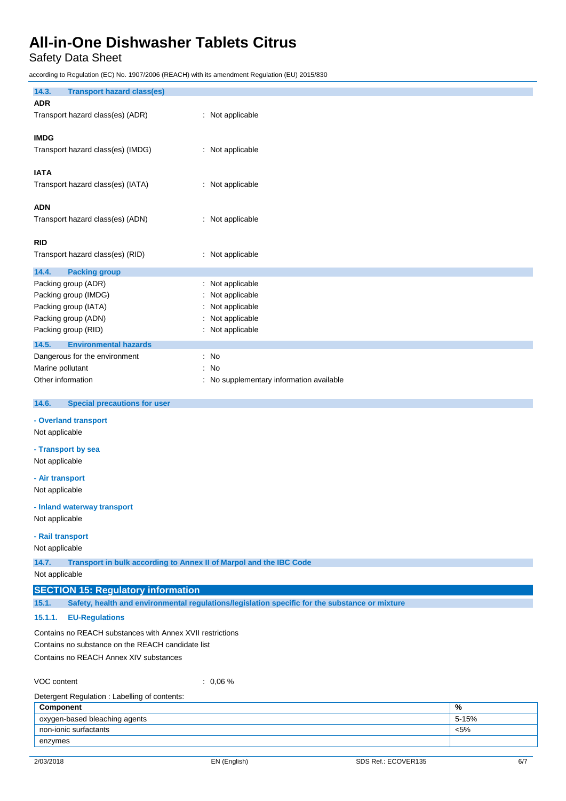Safety Data Sheet

according to Regulation (EC) No. 1907/2006 (REACH) with its amendment Regulation (EU) 2015/830

| loodiang to regulation (EO) No. 1901/2000 (NE/1011) with its amenament regulation (EO) 2019/090 |                                                                                                |       |
|-------------------------------------------------------------------------------------------------|------------------------------------------------------------------------------------------------|-------|
| 14.3.<br><b>Transport hazard class(es)</b>                                                      |                                                                                                |       |
| <b>ADR</b>                                                                                      |                                                                                                |       |
| Transport hazard class(es) (ADR)                                                                | : Not applicable                                                                               |       |
| <b>IMDG</b>                                                                                     |                                                                                                |       |
| Transport hazard class(es) (IMDG)                                                               | : Not applicable                                                                               |       |
|                                                                                                 |                                                                                                |       |
| <b>IATA</b>                                                                                     |                                                                                                |       |
| Transport hazard class(es) (IATA)                                                               | : Not applicable                                                                               |       |
| <b>ADN</b>                                                                                      |                                                                                                |       |
| Transport hazard class(es) (ADN)                                                                | : Not applicable                                                                               |       |
|                                                                                                 |                                                                                                |       |
| <b>RID</b>                                                                                      |                                                                                                |       |
| Transport hazard class(es) (RID)                                                                | : Not applicable                                                                               |       |
| 14.4.<br><b>Packing group</b>                                                                   |                                                                                                |       |
| Packing group (ADR)                                                                             | : Not applicable                                                                               |       |
| Packing group (IMDG)                                                                            | Not applicable                                                                                 |       |
| Packing group (IATA)                                                                            | Not applicable                                                                                 |       |
| Packing group (ADN)<br>Packing group (RID)                                                      | Not applicable<br>: Not applicable                                                             |       |
| <b>Environmental hazards</b><br>14.5.                                                           |                                                                                                |       |
| Dangerous for the environment                                                                   | : No                                                                                           |       |
| Marine pollutant                                                                                | No                                                                                             |       |
| Other information                                                                               | No supplementary information available                                                         |       |
|                                                                                                 |                                                                                                |       |
| 14.6.<br><b>Special precautions for user</b>                                                    |                                                                                                |       |
| - Overland transport                                                                            |                                                                                                |       |
| Not applicable                                                                                  |                                                                                                |       |
| - Transport by sea                                                                              |                                                                                                |       |
| Not applicable                                                                                  |                                                                                                |       |
| - Air transport                                                                                 |                                                                                                |       |
| Not applicable                                                                                  |                                                                                                |       |
| - Inland waterway transport                                                                     |                                                                                                |       |
| Not applicable                                                                                  |                                                                                                |       |
| - Rail transport                                                                                |                                                                                                |       |
| Not applicable                                                                                  |                                                                                                |       |
| 14.7.<br>Transport in bulk according to Annex II of Marpol and the IBC Code                     |                                                                                                |       |
| Not applicable                                                                                  |                                                                                                |       |
| <b>SECTION 15: Regulatory information</b>                                                       |                                                                                                |       |
| 15.1.                                                                                           | Safety, health and environmental regulations/legislation specific for the substance or mixture |       |
| 15.1.1.<br><b>EU-Regulations</b>                                                                |                                                                                                |       |
| Contains no REACH substances with Annex XVII restrictions                                       |                                                                                                |       |
| Contains no substance on the REACH candidate list                                               |                                                                                                |       |
| Contains no REACH Annex XIV substances                                                          |                                                                                                |       |
|                                                                                                 |                                                                                                |       |
| VOC content                                                                                     | $: 0.06 \%$                                                                                    |       |
| Detergent Regulation: Labelling of contents:<br>Component                                       |                                                                                                | $\%$  |
| oxygen-based bleaching agents                                                                   |                                                                                                | 5-15% |

non-ionic surfactants  $\sim$